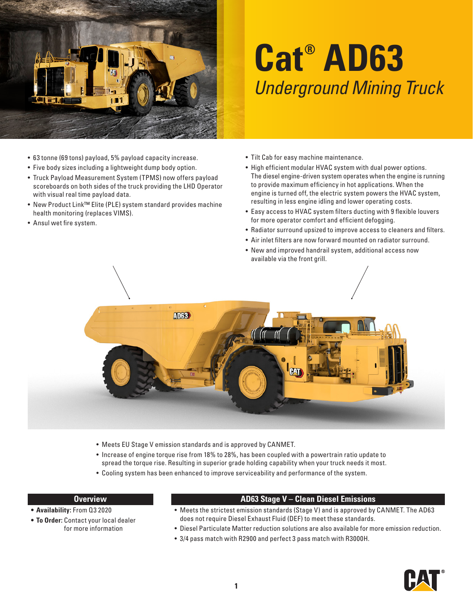

## **Cat® AD63** *Underground Mining Truck*

- 63 tonne (69 tons) payload, 5% payload capacity increase.
- Five body sizes including a lightweight dump body option.
- Truck Payload Measurement System (TPMS) now offers payload scoreboards on both sides of the truck providing the LHD Operator with visual real time payload data.
- New Product Link™ Elite (PLE) system standard provides machine health monitoring (replaces VIMS).
- Ansul wet fire system.
- Tilt Cab for easy machine maintenance.
- High efficient modular HVAC system with dual power options. The diesel engine-driven system operates when the engine is running to provide maximum efficiency in hot applications. When the engine is turned off, the electric system powers the HVAC system, resulting in less engine idling and lower operating costs.
- Easy access to HVAC system filters ducting with 9 flexible louvers for more operator comfort and efficient defogging.
- Radiator surround upsized to improve access to cleaners and filters.
- Air inlet filters are now forward mounted on radiator surround.
- New and improved handrail system, additional access now available via the front grill.



- Meets EU Stage V emission standards and is approved by CANMET.
- Increase of engine torque rise from 18% to 28%, has been coupled with a powertrain ratio update to spread the torque rise. Resulting in superior grade holding capability when your truck needs it most.
- Cooling system has been enhanced to improve serviceability and performance of the system.

## **Overview**

- **• Availability:** From Q3 2020
- **• To Order:** Contact your local dealer for more information

## **AD63 Stage V – Clean Diesel Emissions**

- Meets the strictest emission standards (Stage V) and is approved by CANMET. The AD63 does not require Diesel Exhaust Fluid (DEF) to meet these standards.
- Diesel Particulate Matter reduction solutions are also available for more emission reduction.
- 3/4 pass match with R2900 and perfect 3 pass match with R3000H.